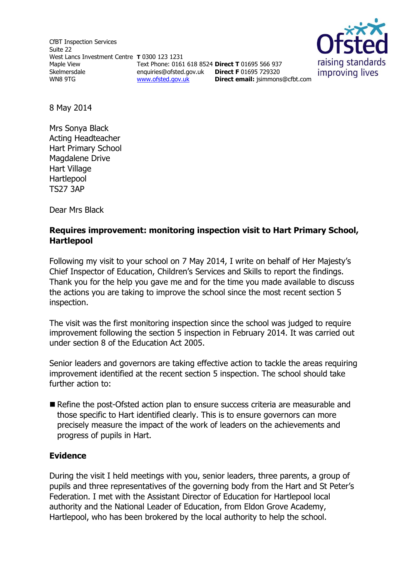CfBT Inspection Services Suite 22 West Lancs Investment Centre **T** 0300 123 1231 Maple View Skelmersdale WN8 9TG Text Phone: 0161 618 8524 **Direct T** 01695 566 937 enquiries@ofsted.gov.uk **Direct F** 01695 729320 [www.ofsted.gov.uk](http://www.ofsted.gov.uk/)



8 May 2014

Mrs Sonya Black Acting Headteacher Hart Primary School Magdalene Drive Hart Village Hartlepool TS27 3AP

Dear Mrs Black

### **Requires improvement: monitoring inspection visit to Hart Primary School, Hartlepool**

Following my visit to your school on 7 May 2014, I write on behalf of Her Majesty's Chief Inspector of Education, Children's Services and Skills to report the findings. Thank you for the help you gave me and for the time you made available to discuss the actions you are taking to improve the school since the most recent section 5 inspection.

The visit was the first monitoring inspection since the school was judged to require improvement following the section 5 inspection in February 2014. It was carried out under section 8 of the Education Act 2005.

Senior leaders and governors are taking effective action to tackle the areas requiring improvement identified at the recent section 5 inspection. The school should take further action to:

 Refine the post-Ofsted action plan to ensure success criteria are measurable and those specific to Hart identified clearly. This is to ensure governors can more precisely measure the impact of the work of leaders on the achievements and progress of pupils in Hart.

#### **Evidence**

During the visit I held meetings with you, senior leaders, three parents, a group of pupils and three representatives of the governing body from the Hart and St Peter's Federation. I met with the Assistant Director of Education for Hartlepool local authority and the National Leader of Education, from Eldon Grove Academy, Hartlepool, who has been brokered by the local authority to help the school.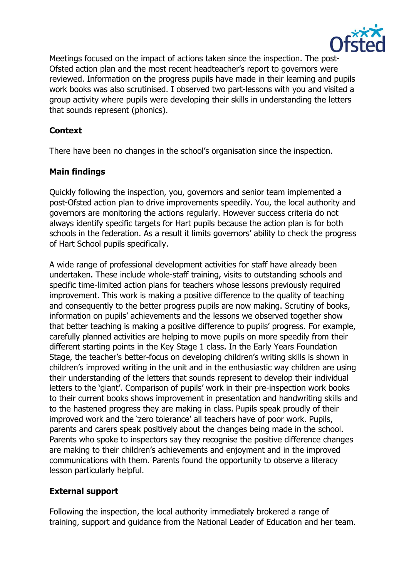

Meetings focused on the impact of actions taken since the inspection. The post-Ofsted action plan and the most recent headteacher's report to governors were reviewed. Information on the progress pupils have made in their learning and pupils work books was also scrutinised. I observed two part-lessons with you and visited a group activity where pupils were developing their skills in understanding the letters that sounds represent (phonics).

### **Context**

There have been no changes in the school's organisation since the inspection.

## **Main findings**

Quickly following the inspection, you, governors and senior team implemented a post-Ofsted action plan to drive improvements speedily. You, the local authority and governors are monitoring the actions regularly. However success criteria do not always identify specific targets for Hart pupils because the action plan is for both schools in the federation. As a result it limits governors' ability to check the progress of Hart School pupils specifically.

A wide range of professional development activities for staff have already been undertaken. These include whole-staff training, visits to outstanding schools and specific time-limited action plans for teachers whose lessons previously required improvement. This work is making a positive difference to the quality of teaching and consequently to the better progress pupils are now making. Scrutiny of books, information on pupils' achievements and the lessons we observed together show that better teaching is making a positive difference to pupils' progress. For example, carefully planned activities are helping to move pupils on more speedily from their different starting points in the Key Stage 1 class. In the Early Years Foundation Stage, the teacher's better-focus on developing children's writing skills is shown in children's improved writing in the unit and in the enthusiastic way children are using their understanding of the letters that sounds represent to develop their individual letters to the 'giant'. Comparison of pupils' work in their pre-inspection work books to their current books shows improvement in presentation and handwriting skills and to the hastened progress they are making in class. Pupils speak proudly of their improved work and the 'zero tolerance' all teachers have of poor work. Pupils, parents and carers speak positively about the changes being made in the school. Parents who spoke to inspectors say they recognise the positive difference changes are making to their children's achievements and enjoyment and in the improved communications with them. Parents found the opportunity to observe a literacy lesson particularly helpful.

# **External support**

Following the inspection, the local authority immediately brokered a range of training, support and guidance from the National Leader of Education and her team.